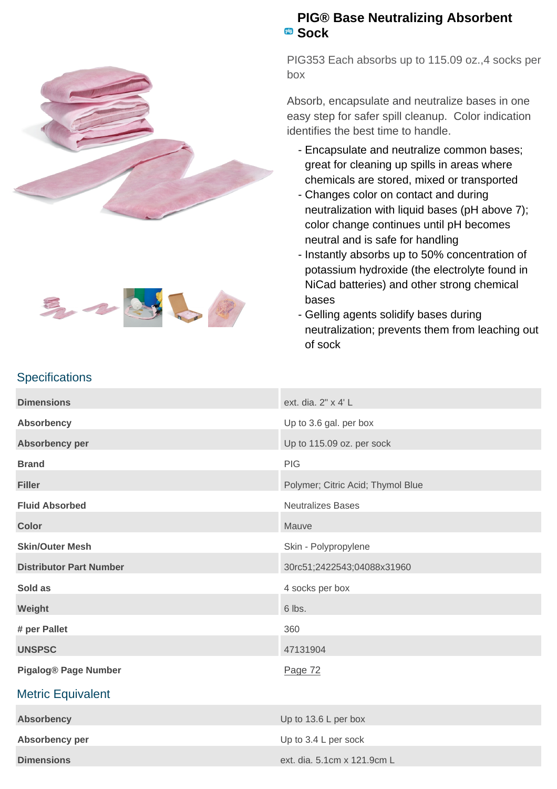



## **PIG® Base Neutralizing Absorbent Sock**

PIG353 Each absorbs up to 115.09 oz.,4 socks per box

Absorb, encapsulate and neutralize bases in one easy step for safer spill cleanup. Color indication identifies the best time to handle.

- Encapsulate and neutralize common bases; great for cleaning up spills in areas where chemicals are stored, mixed or transported
- Changes color on contact and during neutralization with liquid bases (pH above 7); color change continues until pH becomes neutral and is safe for handling
- Instantly absorbs up to 50% concentration of potassium hydroxide (the electrolyte found in NiCad batteries) and other strong chemical bases
- Gelling agents solidify bases during neutralization; prevents them from leaching out of sock

|  |  | <b>Specifications</b> |
|--|--|-----------------------|

| ext. dia. 2" x 4' L               |  |
|-----------------------------------|--|
| Up to 3.6 gal. per box            |  |
| Up to 115.09 oz. per sock         |  |
| <b>PIG</b>                        |  |
| Polymer; Citric Acid; Thymol Blue |  |
| <b>Neutralizes Bases</b>          |  |
| Mauve                             |  |
| Skin - Polypropylene              |  |
| 30rc51;2422543;04088x31960        |  |
| 4 socks per box                   |  |
| 6 lbs.                            |  |
| 360                               |  |
| 47131904                          |  |
| Page 72                           |  |
|                                   |  |
| Up to 13.6 L per box              |  |
| Up to 3.4 L per sock              |  |
| ext. dia. 5.1cm x 121.9cm L       |  |
|                                   |  |